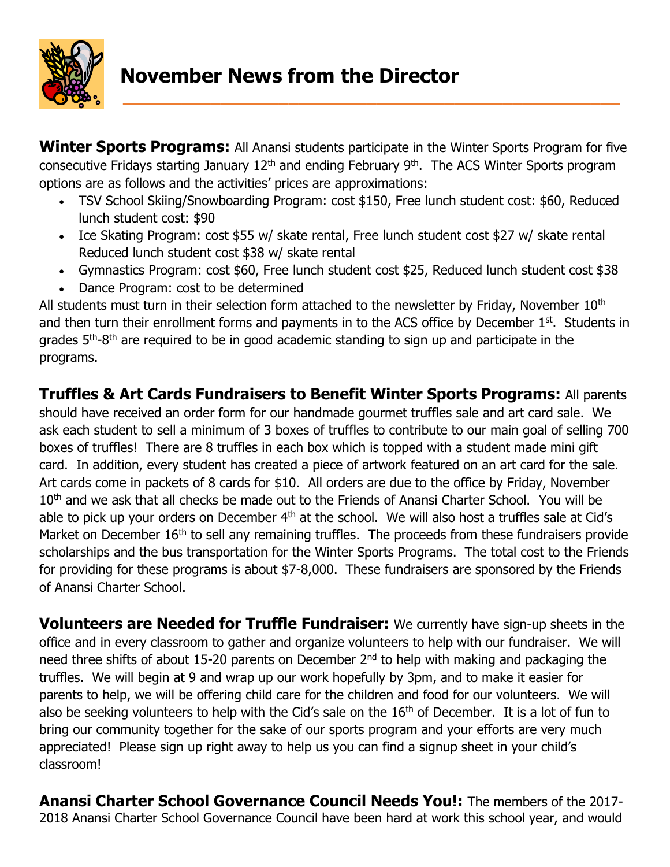

**Winter Sports Programs:** All Anansi students participate in the Winter Sports Program for five consecutive Fridays starting January 12<sup>th</sup> and ending February 9<sup>th</sup>. The ACS Winter Sports program options are as follows and the activities' prices are approximations:

- TSV School Skiing/Snowboarding Program: cost \$150, Free lunch student cost: \$60, Reduced lunch student cost: \$90
- Ice Skating Program: cost \$55 w/ skate rental, Free lunch student cost \$27 w/ skate rental Reduced lunch student cost \$38 w/ skate rental
- Gymnastics Program: cost \$60, Free lunch student cost \$25, Reduced lunch student cost \$38
- Dance Program: cost to be determined

All students must turn in their selection form attached to the newsletter by Friday, November  $10<sup>th</sup>$ and then turn their enrollment forms and payments in to the ACS office by December 1<sup>st</sup>. Students in grades 5<sup>th</sup>-8<sup>th</sup> are required to be in good academic standing to sign up and participate in the programs.

## **Truffles & Art Cards Fundraisers to Benefit Winter Sports Programs:** All parents

should have received an order form for our handmade gourmet truffles sale and art card sale. We ask each student to sell a minimum of 3 boxes of truffles to contribute to our main goal of selling 700 boxes of truffles! There are 8 truffles in each box which is topped with a student made mini gift card. In addition, every student has created a piece of artwork featured on an art card for the sale. Art cards come in packets of 8 cards for \$10. All orders are due to the office by Friday, November 10<sup>th</sup> and we ask that all checks be made out to the Friends of Anansi Charter School. You will be able to pick up your orders on December 4<sup>th</sup> at the school. We will also host a truffles sale at Cid's Market on December 16<sup>th</sup> to sell any remaining truffles. The proceeds from these fundraisers provide scholarships and the bus transportation for the Winter Sports Programs. The total cost to the Friends for providing for these programs is about \$7-8,000. These fundraisers are sponsored by the Friends of Anansi Charter School.

**Volunteers are Needed for Truffle Fundraiser:** We currently have sign-up sheets in the office and in every classroom to gather and organize volunteers to help with our fundraiser. We will need three shifts of about 15-20 parents on December 2<sup>nd</sup> to help with making and packaging the truffles. We will begin at 9 and wrap up our work hopefully by 3pm, and to make it easier for parents to help, we will be offering child care for the children and food for our volunteers. We will also be seeking volunteers to help with the Cid's sale on the 16<sup>th</sup> of December. It is a lot of fun to bring our community together for the sake of our sports program and your efforts are very much appreciated! Please sign up right away to help us you can find a signup sheet in your child's classroom!

**Anansi Charter School Governance Council Needs You!:** The members of the 2017- 2018 Anansi Charter School Governance Council have been hard at work this school year, and would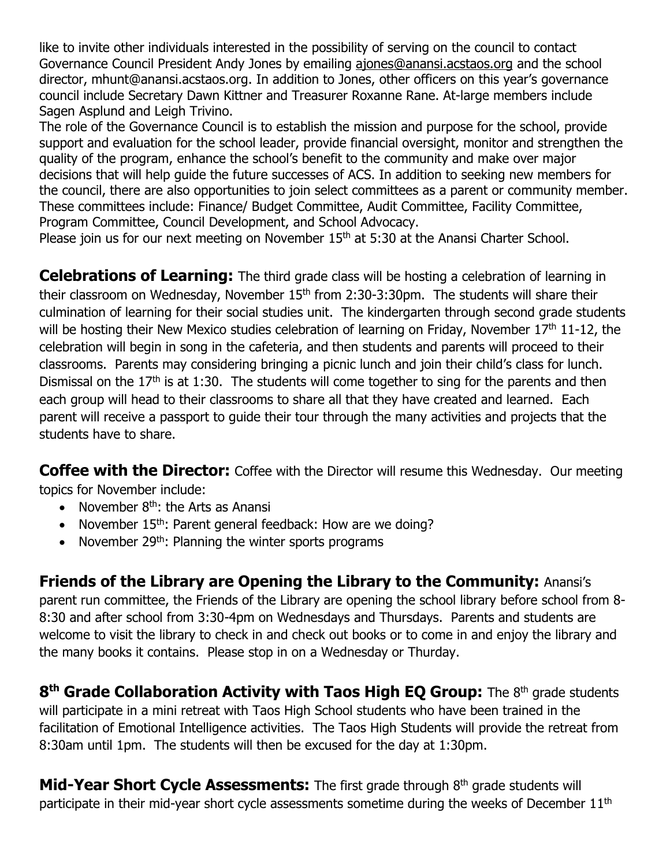like to invite other individuals interested in the possibility of serving on the council to contact Governance Council President Andy Jones by emailing [ajones@anansi.acstaos.org](mailto:ajones@anansi.acstaos.org) and the school director, mhunt@anansi.acstaos.org. In addition to Jones, other officers on this year's governance council include Secretary Dawn Kittner and Treasurer Roxanne Rane. At-large members include Sagen Asplund and Leigh Trivino.

The role of the Governance Council is to establish the mission and purpose for the school, provide support and evaluation for the school leader, provide financial oversight, monitor and strengthen the quality of the program, enhance the school's benefit to the community and make over major decisions that will help guide the future successes of ACS. In addition to seeking new members for the council, there are also opportunities to join select committees as a parent or community member. These committees include: Finance/ Budget Committee, Audit Committee, Facility Committee, Program Committee, Council Development, and School Advocacy.

Please join us for our next meeting on November 15<sup>th</sup> at 5:30 at the Anansi Charter School.

**Celebrations of Learning:** The third grade class will be hosting a celebration of learning in their classroom on Wednesday, November  $15<sup>th</sup>$  from 2:30-3:30pm. The students will share their culmination of learning for their social studies unit. The kindergarten through second grade students will be hosting their New Mexico studies celebration of learning on Friday, November 17<sup>th</sup> 11-12, the celebration will begin in song in the cafeteria, and then students and parents will proceed to their classrooms. Parents may considering bringing a picnic lunch and join their child's class for lunch. Dismissal on the  $17<sup>th</sup>$  is at 1:30. The students will come together to sing for the parents and then each group will head to their classrooms to share all that they have created and learned. Each parent will receive a passport to guide their tour through the many activities and projects that the students have to share.

**Coffee with the Director:** Coffee with the Director will resume this Wednesday. Our meeting topics for November include:

- November  $8<sup>th</sup>$ : the Arts as Anansi
- November  $15<sup>th</sup>$ : Parent general feedback: How are we doing?
- November  $29<sup>th</sup>$ : Planning the winter sports programs

**Friends of the Library are Opening the Library to the Community:** Anansi's parent run committee, the Friends of the Library are opening the school library before school from 8- 8:30 and after school from 3:30-4pm on Wednesdays and Thursdays. Parents and students are welcome to visit the library to check in and check out books or to come in and enjoy the library and the many books it contains. Please stop in on a Wednesday or Thurday.

**8<sup>th</sup> Grade Collaboration Activity with Taos High EQ Group:** The 8<sup>th</sup> grade students will participate in a mini retreat with Taos High School students who have been trained in the facilitation of Emotional Intelligence activities. The Taos High Students will provide the retreat from 8:30am until 1pm. The students will then be excused for the day at 1:30pm.

**Mid-Year Short Cycle Assessments:** The first grade through 8<sup>th</sup> grade students will participate in their mid-year short cycle assessments sometime during the weeks of December  $11<sup>th</sup>$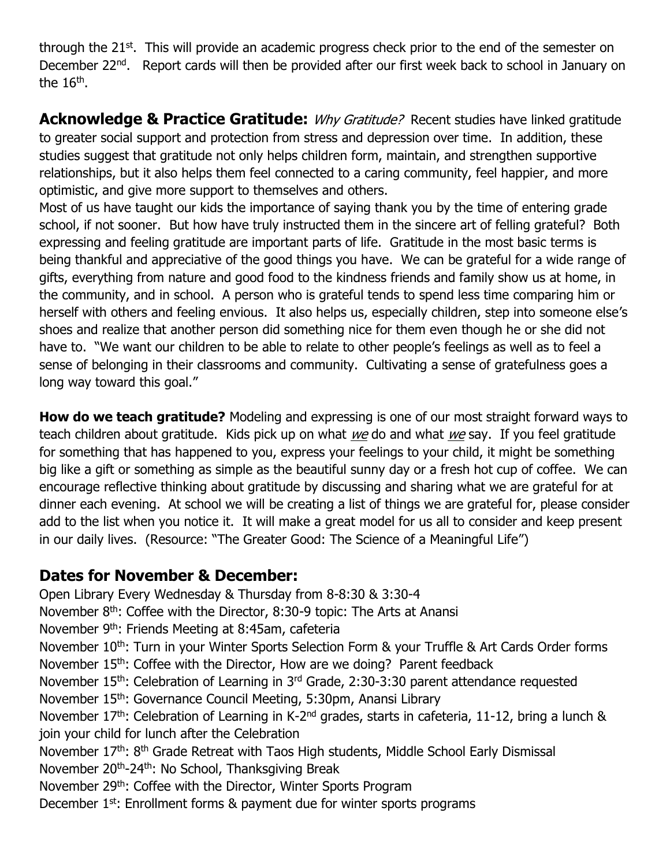through the 21<sup>st</sup>. This will provide an academic progress check prior to the end of the semester on December 22<sup>nd</sup>. Report cards will then be provided after our first week back to school in January on the 16<sup>th</sup>.

**Acknowledge & Practice Gratitude:** Why Gratitude? Recent studies have linked gratitude to greater social support and protection from stress and depression over time. In addition, these studies suggest that gratitude not only helps children form, maintain, and strengthen supportive relationships, but it also helps them feel connected to a caring community, feel happier, and more optimistic, and give more support to themselves and others.

Most of us have taught our kids the importance of saying thank you by the time of entering grade school, if not sooner. But how have truly instructed them in the sincere art of felling grateful? Both expressing and feeling gratitude are important parts of life. Gratitude in the most basic terms is being thankful and appreciative of the good things you have. We can be grateful for a wide range of gifts, everything from nature and good food to the kindness friends and family show us at home, in the community, and in school. A person who is grateful tends to spend less time comparing him or herself with others and feeling envious. It also helps us, especially children, step into someone else's shoes and realize that another person did something nice for them even though he or she did not have to. "We want our children to be able to relate to other people's feelings as well as to feel a sense of belonging in their classrooms and community. Cultivating a sense of gratefulness goes a long way toward this goal."

**How do we teach gratitude?** Modeling and expressing is one of our most straight forward ways to teach children about gratitude. Kids pick up on what we do and what we say. If you feel gratitude for something that has happened to you, express your feelings to your child, it might be something big like a gift or something as simple as the beautiful sunny day or a fresh hot cup of coffee. We can encourage reflective thinking about gratitude by discussing and sharing what we are grateful for at dinner each evening. At school we will be creating a list of things we are grateful for, please consider add to the list when you notice it. It will make a great model for us all to consider and keep present in our daily lives. (Resource: "The Greater Good: The Science of a Meaningful Life")

## **Dates for November & December:**

Open Library Every Wednesday & Thursday from 8-8:30 & 3:30-4 November  $8<sup>th</sup>$ : Coffee with the Director, 8:30-9 topic: The Arts at Anansi November 9<sup>th</sup>: Friends Meeting at 8:45am, cafeteria November 10<sup>th</sup>: Turn in your Winter Sports Selection Form & your Truffle & Art Cards Order forms November 15<sup>th</sup>: Coffee with the Director, How are we doing? Parent feedback November 15<sup>th</sup>: Celebration of Learning in 3<sup>rd</sup> Grade, 2:30-3:30 parent attendance requested November 15<sup>th</sup>: Governance Council Meeting, 5:30pm, Anansi Library November 17<sup>th</sup>: Celebration of Learning in K-2<sup>nd</sup> grades, starts in cafeteria, 11-12, bring a lunch & join your child for lunch after the Celebration November 17<sup>th</sup>: 8<sup>th</sup> Grade Retreat with Taos High students, Middle School Early Dismissal November 20<sup>th</sup>-24<sup>th</sup>: No School, Thanksgiving Break November 29<sup>th</sup>: Coffee with the Director, Winter Sports Program December 1<sup>st</sup>: Enrollment forms & payment due for winter sports programs